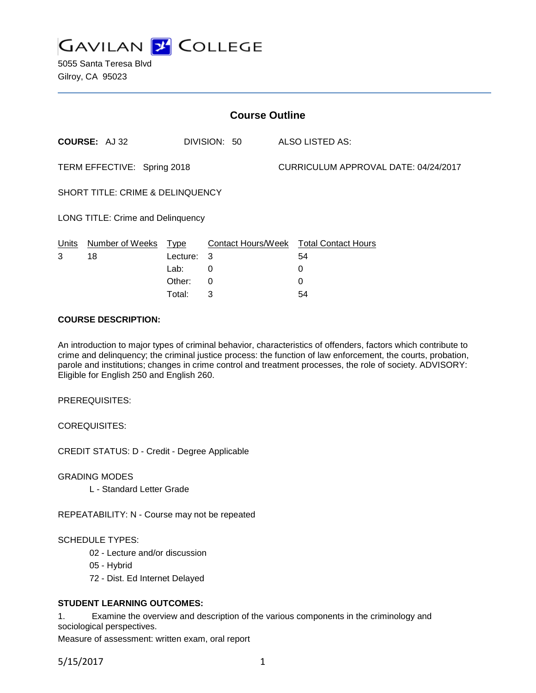

| <b>Course Outline</b>                       |                 |             |                           |                                      |                            |
|---------------------------------------------|-----------------|-------------|---------------------------|--------------------------------------|----------------------------|
|                                             | COURSE: AJ 32   |             | DIVISION: 50              |                                      | <b>ALSO LISTED AS:</b>     |
| TERM EFFECTIVE: Spring 2018                 |                 |             |                           | CURRICULUM APPROVAL DATE: 04/24/2017 |                            |
| <b>SHORT TITLE: CRIME &amp; DELINQUENCY</b> |                 |             |                           |                                      |                            |
| <b>LONG TITLE: Crime and Delinquency</b>    |                 |             |                           |                                      |                            |
| <b>Units</b>                                | Number of Weeks | <u>Type</u> | <b>Contact Hours/Week</b> |                                      | <b>Total Contact Hours</b> |
| 3                                           | 18              | Lecture:    | 3                         |                                      | 54                         |
|                                             |                 | Lab:        | 0                         |                                      | 0                          |
|                                             |                 | Other:      | 0                         |                                      | 0                          |
|                                             |                 | Total:      | 3                         |                                      | 54                         |

## **COURSE DESCRIPTION:**

An introduction to major types of criminal behavior, characteristics of offenders, factors which contribute to crime and delinquency; the criminal justice process: the function of law enforcement, the courts, probation, parole and institutions; changes in crime control and treatment processes, the role of society. ADVISORY: Eligible for English 250 and English 260.

PREREQUISITES:

COREQUISITES:

CREDIT STATUS: D - Credit - Degree Applicable

GRADING MODES

L - Standard Letter Grade

REPEATABILITY: N - Course may not be repeated

#### SCHEDULE TYPES:

- 02 Lecture and/or discussion
- 05 Hybrid
- 72 Dist. Ed Internet Delayed

# **STUDENT LEARNING OUTCOMES:**

1. Examine the overview and description of the various components in the criminology and sociological perspectives.

Measure of assessment: written exam, oral report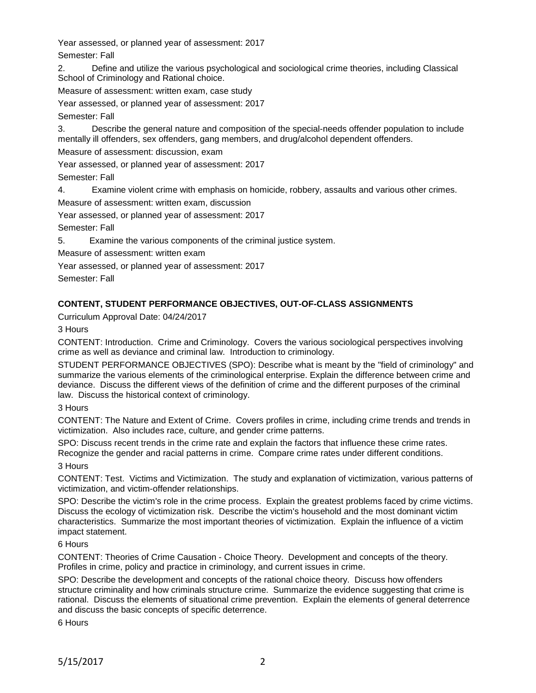Year assessed, or planned year of assessment: 2017 Semester: Fall

2. Define and utilize the various psychological and sociological crime theories, including Classical School of Criminology and Rational choice.

Measure of assessment: written exam, case study

Year assessed, or planned year of assessment: 2017

Semester: Fall

3. Describe the general nature and composition of the special-needs offender population to include mentally ill offenders, sex offenders, gang members, and drug/alcohol dependent offenders.

Measure of assessment: discussion, exam

Year assessed, or planned year of assessment: 2017

Semester: Fall

4. Examine violent crime with emphasis on homicide, robbery, assaults and various other crimes.

Measure of assessment: written exam, discussion

Year assessed, or planned year of assessment: 2017

Semester: Fall

5. Examine the various components of the criminal justice system.

Measure of assessment: written exam

Year assessed, or planned year of assessment: 2017

Semester: Fall

# **CONTENT, STUDENT PERFORMANCE OBJECTIVES, OUT-OF-CLASS ASSIGNMENTS**

Curriculum Approval Date: 04/24/2017

3 Hours

CONTENT: Introduction. Crime and Criminology. Covers the various sociological perspectives involving crime as well as deviance and criminal law. Introduction to criminology.

STUDENT PERFORMANCE OBJECTIVES (SPO): Describe what is meant by the "field of criminology" and summarize the various elements of the criminological enterprise. Explain the difference between crime and deviance. Discuss the different views of the definition of crime and the different purposes of the criminal law. Discuss the historical context of criminology.

# 3 Hours

CONTENT: The Nature and Extent of Crime. Covers profiles in crime, including crime trends and trends in victimization. Also includes race, culture, and gender crime patterns.

SPO: Discuss recent trends in the crime rate and explain the factors that influence these crime rates. Recognize the gender and racial patterns in crime. Compare crime rates under different conditions.

3 Hours

CONTENT: Test. Victims and Victimization. The study and explanation of victimization, various patterns of victimization, and victim-offender relationships.

SPO: Describe the victim's role in the crime process. Explain the greatest problems faced by crime victims. Discuss the ecology of victimization risk. Describe the victim's household and the most dominant victim characteristics. Summarize the most important theories of victimization. Explain the influence of a victim impact statement.

6 Hours

CONTENT: Theories of Crime Causation - Choice Theory. Development and concepts of the theory. Profiles in crime, policy and practice in criminology, and current issues in crime.

SPO: Describe the development and concepts of the rational choice theory. Discuss how offenders structure criminality and how criminals structure crime. Summarize the evidence suggesting that crime is rational. Discuss the elements of situational crime prevention. Explain the elements of general deterrence and discuss the basic concepts of specific deterrence.

6 Hours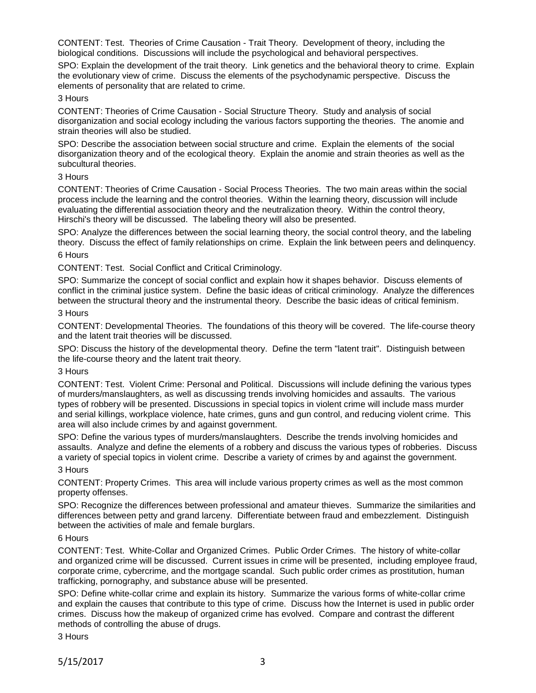CONTENT: Test. Theories of Crime Causation - Trait Theory. Development of theory, including the biological conditions. Discussions will include the psychological and behavioral perspectives.

SPO: Explain the development of the trait theory. Link genetics and the behavioral theory to crime. Explain the evolutionary view of crime. Discuss the elements of the psychodynamic perspective. Discuss the elements of personality that are related to crime.

## 3 Hours

CONTENT: Theories of Crime Causation - Social Structure Theory. Study and analysis of social disorganization and social ecology including the various factors supporting the theories. The anomie and strain theories will also be studied.

SPO: Describe the association between social structure and crime. Explain the elements of the social disorganization theory and of the ecological theory. Explain the anomie and strain theories as well as the subcultural theories.

#### 3 Hours

CONTENT: Theories of Crime Causation - Social Process Theories. The two main areas within the social process include the learning and the control theories. Within the learning theory, discussion will include evaluating the differential association theory and the neutralization theory. Within the control theory, Hirschi's theory will be discussed. The labeling theory will also be presented.

SPO: Analyze the differences between the social learning theory, the social control theory, and the labeling theory. Discuss the effect of family relationships on crime. Explain the link between peers and delinquency.

# 6 Hours

CONTENT: Test. Social Conflict and Critical Criminology.

SPO: Summarize the concept of social conflict and explain how it shapes behavior. Discuss elements of conflict in the criminal justice system. Define the basic ideas of critical criminology. Analyze the differences between the structural theory and the instrumental theory. Describe the basic ideas of critical feminism.

## 3 Hours

CONTENT: Developmental Theories. The foundations of this theory will be covered. The life-course theory and the latent trait theories will be discussed.

SPO: Discuss the history of the developmental theory. Define the term "latent trait". Distinguish between the life-course theory and the latent trait theory.

#### 3 Hours

CONTENT: Test. Violent Crime: Personal and Political. Discussions will include defining the various types of murders/manslaughters, as well as discussing trends involving homicides and assaults. The various types of robbery will be presented. Discussions in special topics in violent crime will include mass murder and serial killings, workplace violence, hate crimes, guns and gun control, and reducing violent crime. This area will also include crimes by and against government.

SPO: Define the various types of murders/manslaughters. Describe the trends involving homicides and assaults. Analyze and define the elements of a robbery and discuss the various types of robberies. Discuss a variety of special topics in violent crime. Describe a variety of crimes by and against the government.

#### 3 Hours

CONTENT: Property Crimes. This area will include various property crimes as well as the most common property offenses.

SPO: Recognize the differences between professional and amateur thieves. Summarize the similarities and differences between petty and grand larceny. Differentiate between fraud and embezzlement. Distinguish between the activities of male and female burglars.

#### 6 Hours

CONTENT: Test. White-Collar and Organized Crimes. Public Order Crimes. The history of white-collar and organized crime will be discussed. Current issues in crime will be presented, including employee fraud, corporate crime, cybercrime, and the mortgage scandal. Such public order crimes as prostitution, human trafficking, pornography, and substance abuse will be presented.

SPO: Define white-collar crime and explain its history. Summarize the various forms of white-collar crime and explain the causes that contribute to this type of crime. Discuss how the Internet is used in public order crimes. Discuss how the makeup of organized crime has evolved. Compare and contrast the different methods of controlling the abuse of drugs.

3 Hours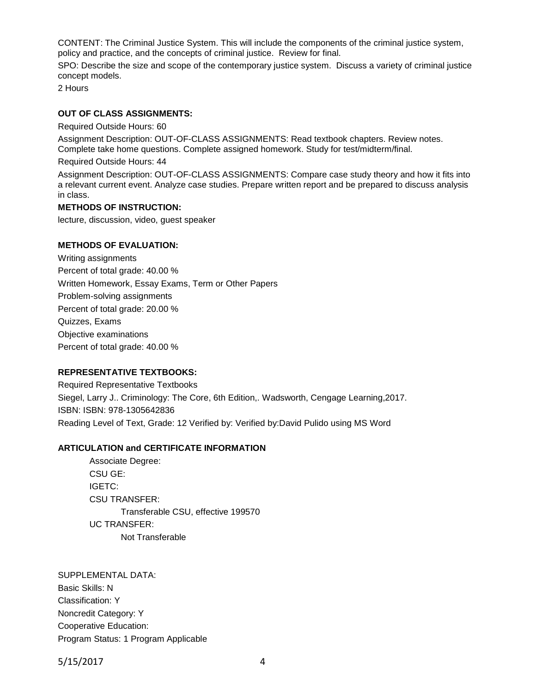CONTENT: The Criminal Justice System. This will include the components of the criminal justice system, policy and practice, and the concepts of criminal justice. Review for final.

SPO: Describe the size and scope of the contemporary justice system. Discuss a variety of criminal justice concept models.

2 Hours

## **OUT OF CLASS ASSIGNMENTS:**

Required Outside Hours: 60

Assignment Description: OUT-OF-CLASS ASSIGNMENTS: Read textbook chapters. Review notes. Complete take home questions. Complete assigned homework. Study for test/midterm/final.

Required Outside Hours: 44

Assignment Description: OUT-OF-CLASS ASSIGNMENTS: Compare case study theory and how it fits into a relevant current event. Analyze case studies. Prepare written report and be prepared to discuss analysis in class.

#### **METHODS OF INSTRUCTION:**

lecture, discussion, video, guest speaker

#### **METHODS OF EVALUATION:**

Writing assignments Percent of total grade: 40.00 % Written Homework, Essay Exams, Term or Other Papers Problem-solving assignments Percent of total grade: 20.00 % Quizzes, Exams Objective examinations Percent of total grade: 40.00 %

#### **REPRESENTATIVE TEXTBOOKS:**

Required Representative Textbooks Siegel, Larry J.. Criminology: The Core, 6th Edition,. Wadsworth, Cengage Learning,2017. ISBN: ISBN: 978-1305642836 Reading Level of Text, Grade: 12 Verified by: Verified by:David Pulido using MS Word

#### **ARTICULATION and CERTIFICATE INFORMATION**

Associate Degree: CSU GE: IGETC: CSU TRANSFER: Transferable CSU, effective 199570 UC TRANSFER: Not Transferable

SUPPLEMENTAL DATA: Basic Skills: N Classification: Y Noncredit Category: Y Cooperative Education: Program Status: 1 Program Applicable

5/15/2017 4